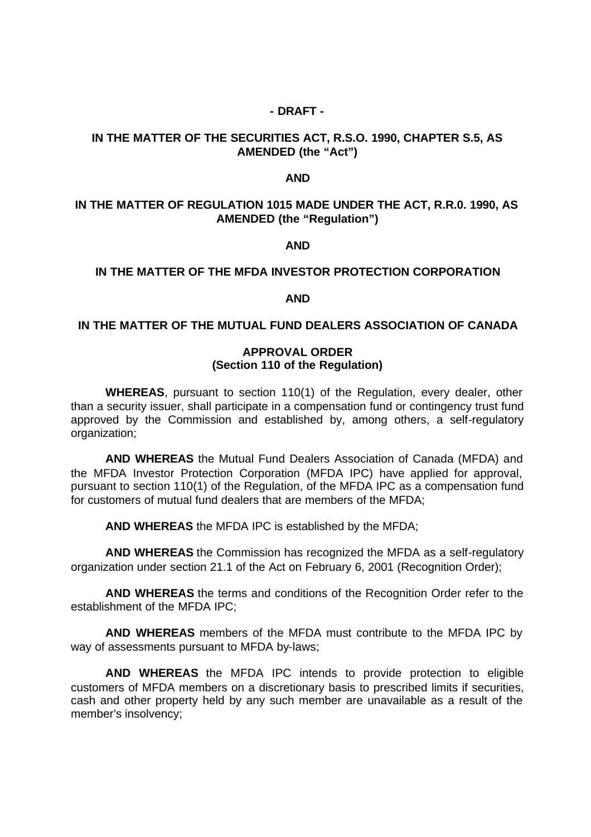#### **- DRAFT -**

### **IN THE MATTER OF THE SECURITIES ACT, R.S.O. 1990, CHAPTER S.5, AS AMENDED (the "Act")**

#### **AND**

# **IN THE MATTER OF REGULATION 1015 MADE UNDER THE ACT, R.R.0. 1990, AS AMENDED (the "Regulation")**

#### **AND**

#### **IN THE MATTER OF THE MFDA INVESTOR PROTECTION CORPORATION**

#### **AND**

#### **IN THE MATTER OF THE MUTUAL FUND DEALERS ASSOCIATION OF CANADA**

#### **APPROVAL ORDER (Section 110 of the Regulation)**

**WHEREAS**, pursuant to section 110(1) of the Regulation, every dealer, other than a security issuer, shall participate in a compensation fund or contingency trust fund approved by the Commission and established by, among others, a self-regulatory organization;

**AND WHEREAS** the Mutual Fund Dealers Association of Canada (MFDA) and the MFDA Investor Protection Corporation (MFDA IPC) have applied for approval, pursuant to section 110(1) of the Regulation, of the MFDA IPC as a compensation fund for customers of mutual fund dealers that are members of the MFDA;

**AND WHEREAS** the MFDA IPC is established by the MFDA;

**AND WHEREAS** the Commission has recognized the MFDA as a self-regulatory organization under section 21.1 of the Act on February 6, 2001 (Recognition Order);

**AND WHEREAS** the terms and conditions of the Recognition Order refer to the establishment of the MFDA IPC;

**AND WHEREAS** members of the MFDA must contribute to the MFDA IPC by way of assessments pursuant to MFDA by-laws;

**AND WHEREAS** the MFDA IPC intends to provide protection to eligible customers of MFDA members on a discretionary basis to prescribed limits if securities, cash and other property held by any such member are unavailable as a result of the member's insolvency;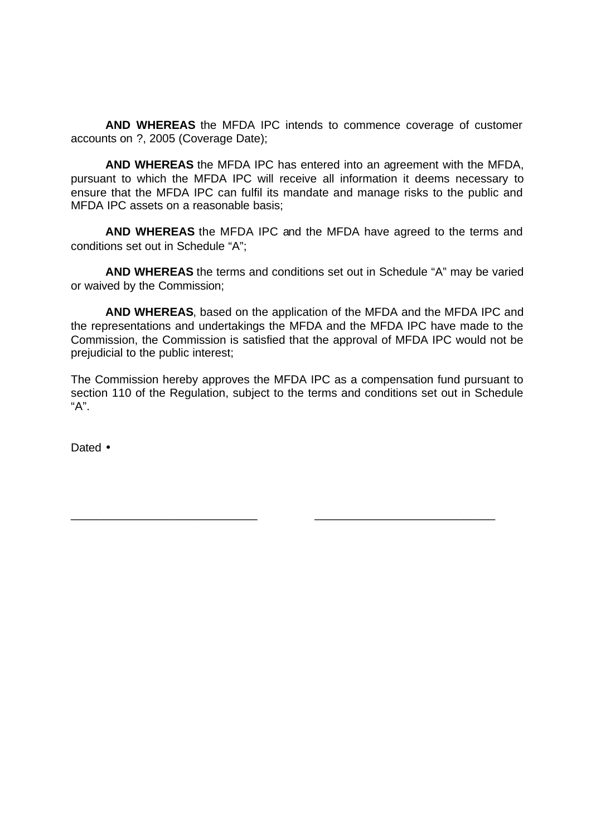**AND WHEREAS** the MFDA IPC intends to commence coverage of customer accounts on ?, 2005 (Coverage Date);

**AND WHEREAS** the MFDA IPC has entered into an agreement with the MFDA, pursuant to which the MFDA IPC will receive all information it deems necessary to ensure that the MFDA IPC can fulfil its mandate and manage risks to the public and MFDA IPC assets on a reasonable basis;

**AND WHEREAS** the MFDA IPC and the MFDA have agreed to the terms and conditions set out in Schedule "A";

**AND WHEREAS** the terms and conditions set out in Schedule "A" may be varied or waived by the Commission;

**AND WHEREAS**, based on the application of the MFDA and the MFDA IPC and the representations and undertakings the MFDA and the MFDA IPC have made to the Commission, the Commission is satisfied that the approval of MFDA IPC would not be prejudicial to the public interest;

The Commission hereby approves the MFDA IPC as a compensation fund pursuant to section 110 of the Regulation, subject to the terms and conditions set out in Schedule "A".

\_\_\_\_\_\_\_\_\_\_\_\_\_\_\_\_\_\_\_\_\_\_\_\_\_\_\_\_\_ \_\_\_\_\_\_\_\_\_\_\_\_\_\_\_\_\_\_\_\_\_\_\_\_\_\_\_\_

Dated •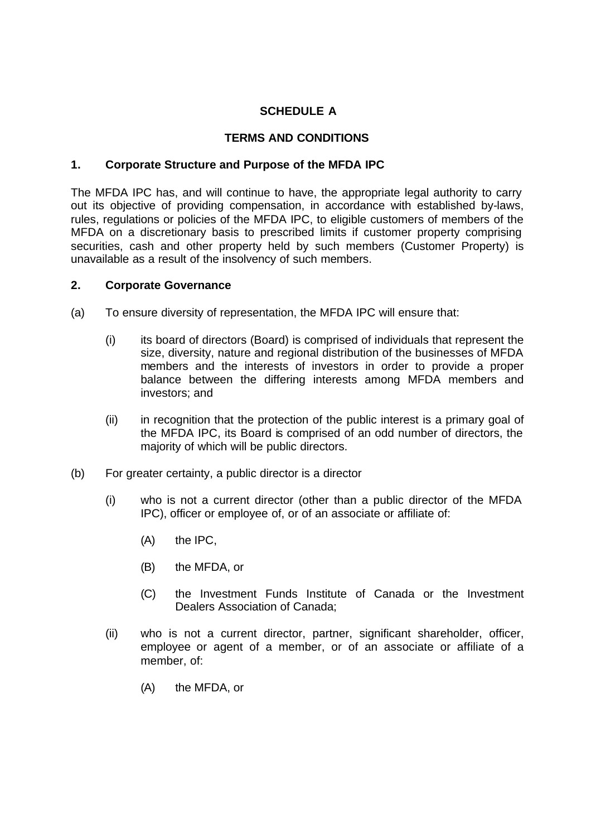# **SCHEDULE A**

# **TERMS AND CONDITIONS**

# **1. Corporate Structure and Purpose of the MFDA IPC**

The MFDA IPC has, and will continue to have, the appropriate legal authority to carry out its objective of providing compensation, in accordance with established by-laws, rules, regulations or policies of the MFDA IPC, to eligible customers of members of the MFDA on a discretionary basis to prescribed limits if customer property comprising securities, cash and other property held by such members (Customer Property) is unavailable as a result of the insolvency of such members.

# **2. Corporate Governance**

- (a) To ensure diversity of representation, the MFDA IPC will ensure that:
	- (i) its board of directors (Board) is comprised of individuals that represent the size, diversity, nature and regional distribution of the businesses of MFDA members and the interests of investors in order to provide a proper balance between the differing interests among MFDA members and investors; and
	- (ii) in recognition that the protection of the public interest is a primary goal of the MFDA IPC, its Board is comprised of an odd number of directors, the majority of which will be public directors.
- (b) For greater certainty, a public director is a director
	- (i) who is not a current director (other than a public director of the MFDA IPC), officer or employee of, or of an associate or affiliate of:
		- (A) the IPC,
		- (B) the MFDA, or
		- (C) the Investment Funds Institute of Canada or the Investment Dealers Association of Canada;
	- (ii) who is not a current director, partner, significant shareholder, officer, employee or agent of a member, or of an associate or affiliate of a member, of:
		- (A) the MFDA, or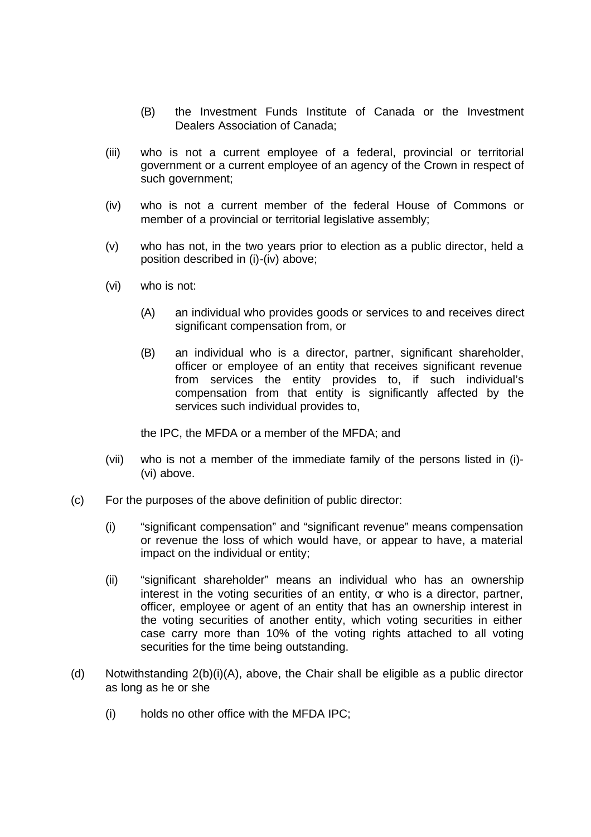- (B) the Investment Funds Institute of Canada or the Investment Dealers Association of Canada;
- (iii) who is not a current employee of a federal, provincial or territorial government or a current employee of an agency of the Crown in respect of such government;
- (iv) who is not a current member of the federal House of Commons or member of a provincial or territorial legislative assembly;
- (v) who has not, in the two years prior to election as a public director, held a position described in (i)-(iv) above;
- (vi) who is not:
	- (A) an individual who provides goods or services to and receives direct significant compensation from, or
	- (B) an individual who is a director, partner, significant shareholder, officer or employee of an entity that receives significant revenue from services the entity provides to, if such individual's compensation from that entity is significantly affected by the services such individual provides to,

the IPC, the MFDA or a member of the MFDA; and

- (vii) who is not a member of the immediate family of the persons listed in (i)- (vi) above.
- (c) For the purposes of the above definition of public director:
	- (i) "significant compensation" and "significant revenue" means compensation or revenue the loss of which would have, or appear to have, a material impact on the individual or entity;
	- (ii) "significant shareholder" means an individual who has an ownership interest in the voting securities of an entity, or who is a director, partner, officer, employee or agent of an entity that has an ownership interest in the voting securities of another entity, which voting securities in either case carry more than 10% of the voting rights attached to all voting securities for the time being outstanding.
- (d) Notwithstanding 2(b)(i)(A), above, the Chair shall be eligible as a public director as long as he or she
	- (i) holds no other office with the MFDA IPC;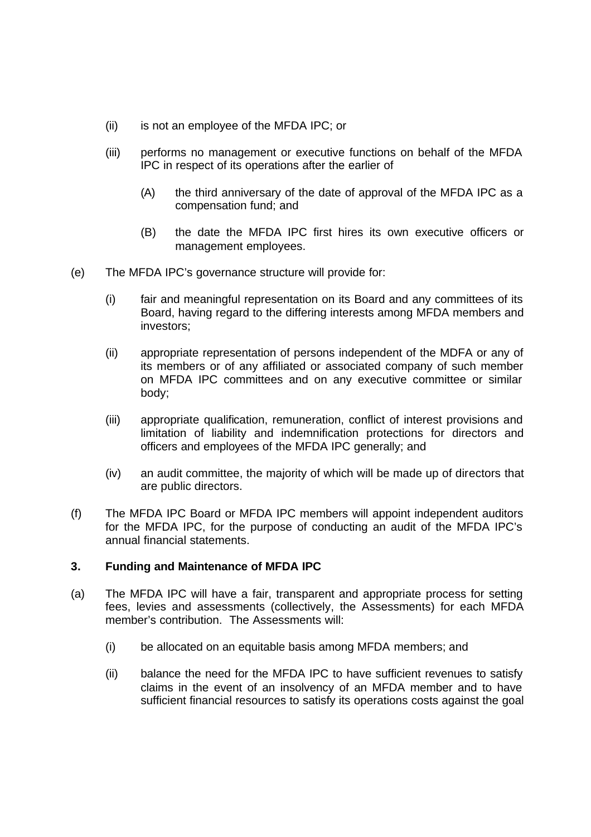- (ii) is not an employee of the MFDA IPC; or
- (iii) performs no management or executive functions on behalf of the MFDA IPC in respect of its operations after the earlier of
	- (A) the third anniversary of the date of approval of the MFDA IPC as a compensation fund; and
	- (B) the date the MFDA IPC first hires its own executive officers or management employees.
- (e) The MFDA IPC's governance structure will provide for:
	- (i) fair and meaningful representation on its Board and any committees of its Board, having regard to the differing interests among MFDA members and investors;
	- (ii) appropriate representation of persons independent of the MDFA or any of its members or of any affiliated or associated company of such member on MFDA IPC committees and on any executive committee or similar body;
	- (iii) appropriate qualification, remuneration, conflict of interest provisions and limitation of liability and indemnification protections for directors and officers and employees of the MFDA IPC generally; and
	- (iv) an audit committee, the majority of which will be made up of directors that are public directors.
- (f) The MFDA IPC Board or MFDA IPC members will appoint independent auditors for the MFDA IPC, for the purpose of conducting an audit of the MFDA IPC's annual financial statements.

# **3. Funding and Maintenance of MFDA IPC**

- (a) The MFDA IPC will have a fair, transparent and appropriate process for setting fees, levies and assessments (collectively, the Assessments) for each MFDA member's contribution. The Assessments will:
	- (i) be allocated on an equitable basis among MFDA members; and
	- (ii) balance the need for the MFDA IPC to have sufficient revenues to satisfy claims in the event of an insolvency of an MFDA member and to have sufficient financial resources to satisfy its operations costs against the goal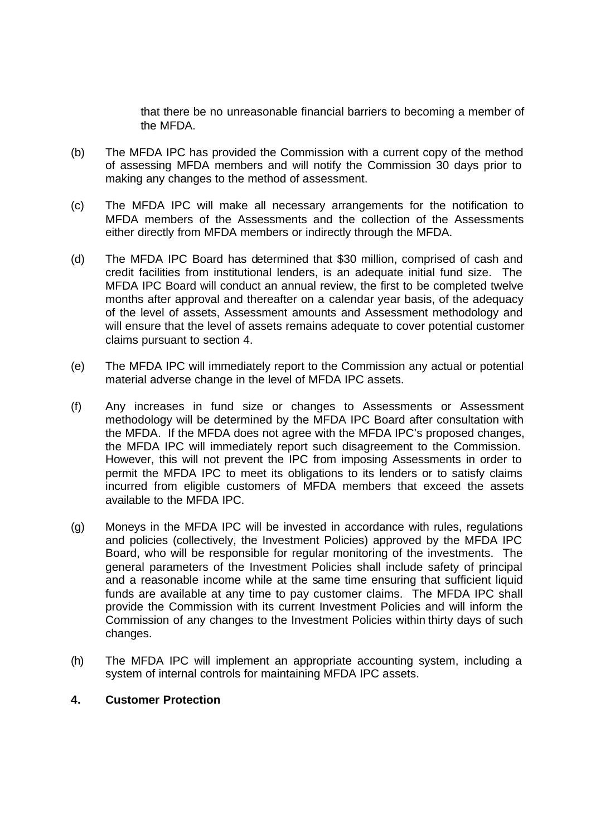that there be no unreasonable financial barriers to becoming a member of the MFDA.

- (b) The MFDA IPC has provided the Commission with a current copy of the method of assessing MFDA members and will notify the Commission 30 days prior to making any changes to the method of assessment.
- (c) The MFDA IPC will make all necessary arrangements for the notification to MFDA members of the Assessments and the collection of the Assessments either directly from MFDA members or indirectly through the MFDA.
- (d) The MFDA IPC Board has determined that \$30 million, comprised of cash and credit facilities from institutional lenders, is an adequate initial fund size. The MFDA IPC Board will conduct an annual review, the first to be completed twelve months after approval and thereafter on a calendar year basis, of the adequacy of the level of assets, Assessment amounts and Assessment methodology and will ensure that the level of assets remains adequate to cover potential customer claims pursuant to section 4.
- (e) The MFDA IPC will immediately report to the Commission any actual or potential material adverse change in the level of MFDA IPC assets.
- (f) Any increases in fund size or changes to Assessments or Assessment methodology will be determined by the MFDA IPC Board after consultation with the MFDA. If the MFDA does not agree with the MFDA IPC's proposed changes, the MFDA IPC will immediately report such disagreement to the Commission. However, this will not prevent the IPC from imposing Assessments in order to permit the MFDA IPC to meet its obligations to its lenders or to satisfy claims incurred from eligible customers of MFDA members that exceed the assets available to the MFDA IPC.
- (g) Moneys in the MFDA IPC will be invested in accordance with rules, regulations and policies (collectively, the Investment Policies) approved by the MFDA IPC Board, who will be responsible for regular monitoring of the investments. The general parameters of the Investment Policies shall include safety of principal and a reasonable income while at the same time ensuring that sufficient liquid funds are available at any time to pay customer claims. The MFDA IPC shall provide the Commission with its current Investment Policies and will inform the Commission of any changes to the Investment Policies within thirty days of such changes.
- (h) The MFDA IPC will implement an appropriate accounting system, including a system of internal controls for maintaining MFDA IPC assets.

### **4. Customer Protection**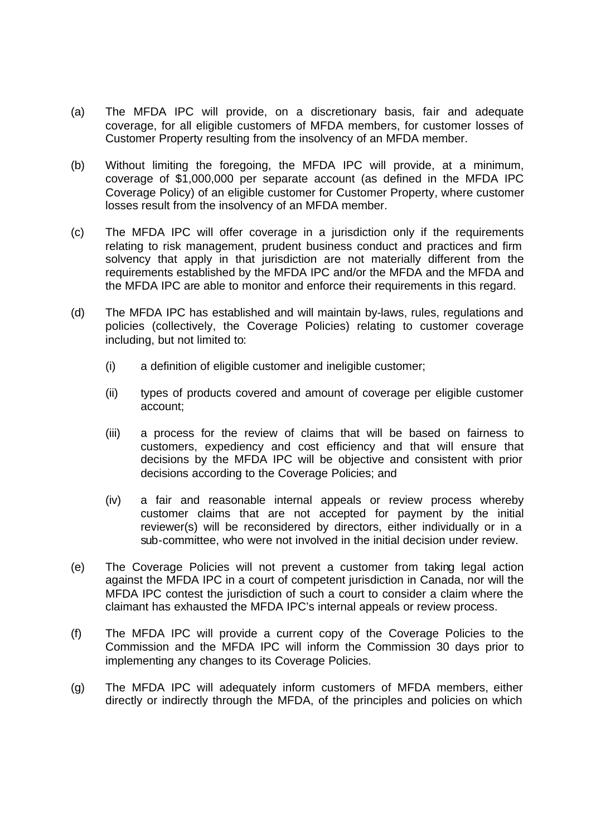- (a) The MFDA IPC will provide, on a discretionary basis, fair and adequate coverage, for all eligible customers of MFDA members, for customer losses of Customer Property resulting from the insolvency of an MFDA member.
- (b) Without limiting the foregoing, the MFDA IPC will provide, at a minimum, coverage of \$1,000,000 per separate account (as defined in the MFDA IPC Coverage Policy) of an eligible customer for Customer Property, where customer losses result from the insolvency of an MFDA member.
- (c) The MFDA IPC will offer coverage in a jurisdiction only if the requirements relating to risk management, prudent business conduct and practices and firm solvency that apply in that jurisdiction are not materially different from the requirements established by the MFDA IPC and/or the MFDA and the MFDA and the MFDA IPC are able to monitor and enforce their requirements in this regard.
- (d) The MFDA IPC has established and will maintain by-laws, rules, regulations and policies (collectively, the Coverage Policies) relating to customer coverage including, but not limited to:
	- (i) a definition of eligible customer and ineligible customer;
	- (ii) types of products covered and amount of coverage per eligible customer account;
	- (iii) a process for the review of claims that will be based on fairness to customers, expediency and cost efficiency and that will ensure that decisions by the MFDA IPC will be objective and consistent with prior decisions according to the Coverage Policies; and
	- (iv) a fair and reasonable internal appeals or review process whereby customer claims that are not accepted for payment by the initial reviewer(s) will be reconsidered by directors, either individually or in a sub-committee, who were not involved in the initial decision under review.
- (e) The Coverage Policies will not prevent a customer from taking legal action against the MFDA IPC in a court of competent jurisdiction in Canada, nor will the MFDA IPC contest the jurisdiction of such a court to consider a claim where the claimant has exhausted the MFDA IPC's internal appeals or review process.
- (f) The MFDA IPC will provide a current copy of the Coverage Policies to the Commission and the MFDA IPC will inform the Commission 30 days prior to implementing any changes to its Coverage Policies.
- (g) The MFDA IPC will adequately inform customers of MFDA members, either directly or indirectly through the MFDA, of the principles and policies on which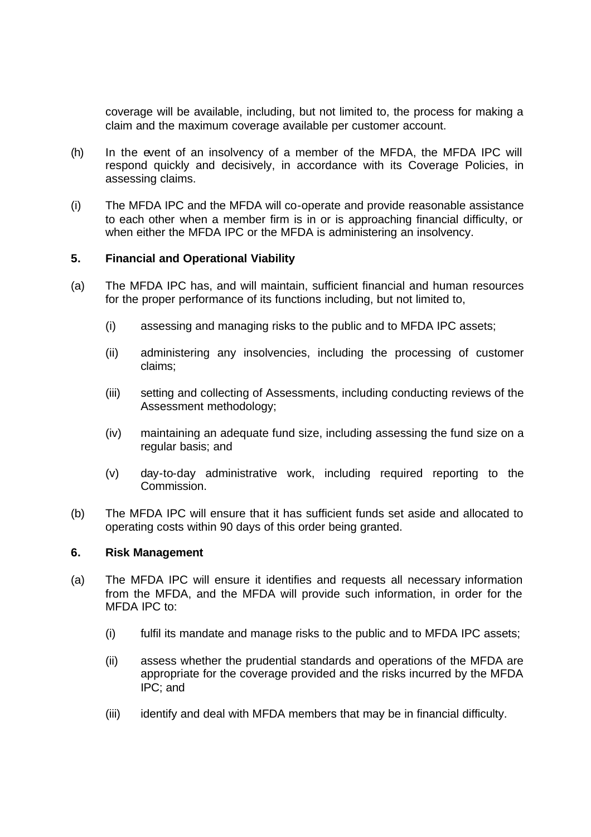coverage will be available, including, but not limited to, the process for making a claim and the maximum coverage available per customer account.

- (h) In the event of an insolvency of a member of the MFDA, the MFDA IPC will respond quickly and decisively, in accordance with its Coverage Policies, in assessing claims.
- (i) The MFDA IPC and the MFDA will co-operate and provide reasonable assistance to each other when a member firm is in or is approaching financial difficulty, or when either the MFDA IPC or the MFDA is administering an insolvency.

# **5. Financial and Operational Viability**

- (a) The MFDA IPC has, and will maintain, sufficient financial and human resources for the proper performance of its functions including, but not limited to,
	- (i) assessing and managing risks to the public and to MFDA IPC assets;
	- (ii) administering any insolvencies, including the processing of customer claims;
	- (iii) setting and collecting of Assessments, including conducting reviews of the Assessment methodology;
	- (iv) maintaining an adequate fund size, including assessing the fund size on a regular basis; and
	- (v) day-to-day administrative work, including required reporting to the Commission.
- (b) The MFDA IPC will ensure that it has sufficient funds set aside and allocated to operating costs within 90 days of this order being granted.

### **6. Risk Management**

- (a) The MFDA IPC will ensure it identifies and requests all necessary information from the MFDA, and the MFDA will provide such information, in order for the MFDA IPC to:
	- (i) fulfil its mandate and manage risks to the public and to MFDA IPC assets;
	- (ii) assess whether the prudential standards and operations of the MFDA are appropriate for the coverage provided and the risks incurred by the MFDA IPC; and
	- (iii) identify and deal with MFDA members that may be in financial difficulty.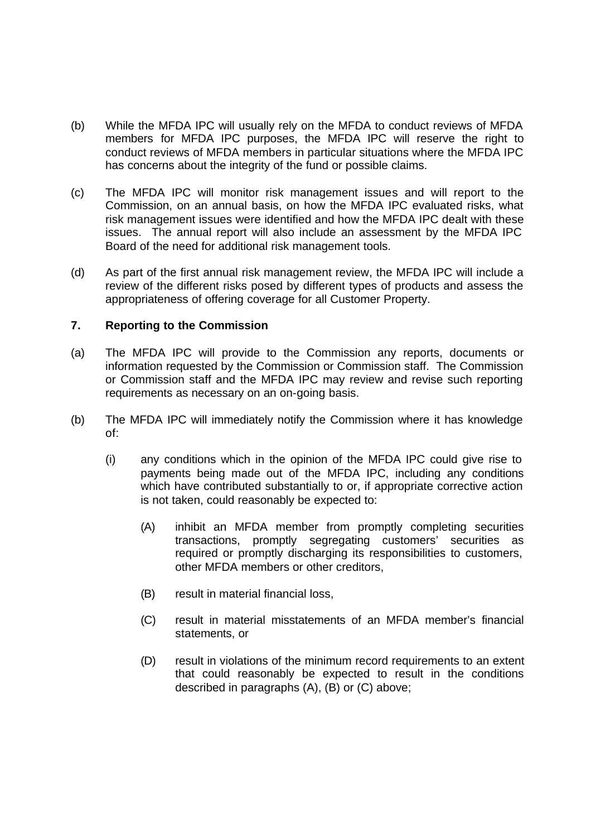- (b) While the MFDA IPC will usually rely on the MFDA to conduct reviews of MFDA members for MFDA IPC purposes, the MFDA IPC will reserve the right to conduct reviews of MFDA members in particular situations where the MFDA IPC has concerns about the integrity of the fund or possible claims.
- (c) The MFDA IPC will monitor risk management issues and will report to the Commission, on an annual basis, on how the MFDA IPC evaluated risks, what risk management issues were identified and how the MFDA IPC dealt with these issues. The annual report will also include an assessment by the MFDA IPC Board of the need for additional risk management tools.
- (d) As part of the first annual risk management review, the MFDA IPC will include a review of the different risks posed by different types of products and assess the appropriateness of offering coverage for all Customer Property.

# **7. Reporting to the Commission**

- (a) The MFDA IPC will provide to the Commission any reports, documents or information requested by the Commission or Commission staff. The Commission or Commission staff and the MFDA IPC may review and revise such reporting requirements as necessary on an on-going basis.
- (b) The MFDA IPC will immediately notify the Commission where it has knowledge of:
	- (i) any conditions which in the opinion of the MFDA IPC could give rise to payments being made out of the MFDA IPC, including any conditions which have contributed substantially to or, if appropriate corrective action is not taken, could reasonably be expected to:
		- (A) inhibit an MFDA member from promptly completing securities transactions, promptly segregating customers' securities as required or promptly discharging its responsibilities to customers, other MFDA members or other creditors,
		- (B) result in material financial loss,
		- (C) result in material misstatements of an MFDA member's financial statements, or
		- (D) result in violations of the minimum record requirements to an extent that could reasonably be expected to result in the conditions described in paragraphs (A), (B) or (C) above;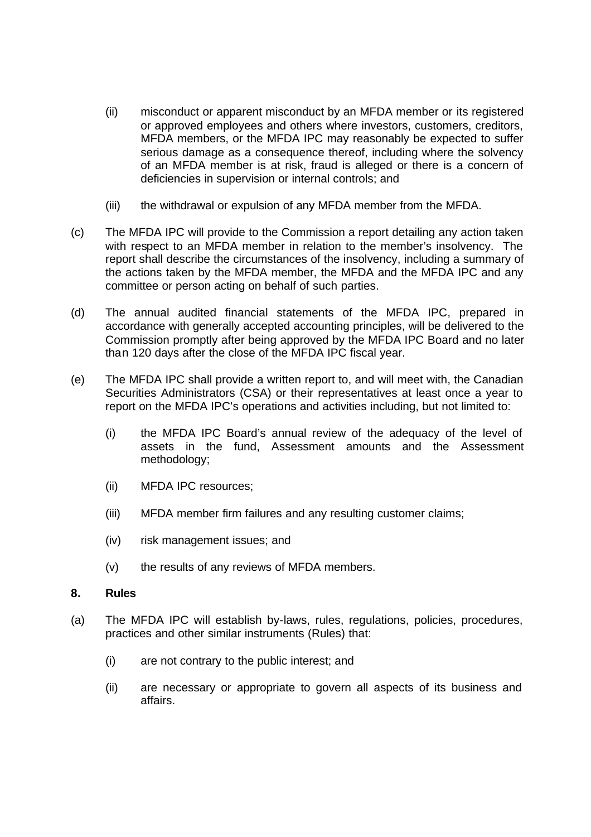- (ii) misconduct or apparent misconduct by an MFDA member or its registered or approved employees and others where investors, customers, creditors, MFDA members, or the MFDA IPC may reasonably be expected to suffer serious damage as a consequence thereof, including where the solvency of an MFDA member is at risk, fraud is alleged or there is a concern of deficiencies in supervision or internal controls; and
- (iii) the withdrawal or expulsion of any MFDA member from the MFDA.
- (c) The MFDA IPC will provide to the Commission a report detailing any action taken with respect to an MFDA member in relation to the member's insolvency. The report shall describe the circumstances of the insolvency, including a summary of the actions taken by the MFDA member, the MFDA and the MFDA IPC and any committee or person acting on behalf of such parties.
- (d) The annual audited financial statements of the MFDA IPC, prepared in accordance with generally accepted accounting principles, will be delivered to the Commission promptly after being approved by the MFDA IPC Board and no later than 120 days after the close of the MFDA IPC fiscal year.
- (e) The MFDA IPC shall provide a written report to, and will meet with, the Canadian Securities Administrators (CSA) or their representatives at least once a year to report on the MFDA IPC's operations and activities including, but not limited to:
	- (i) the MFDA IPC Board's annual review of the adequacy of the level of assets in the fund, Assessment amounts and the Assessment methodology;
	- (ii) MFDA IPC resources;
	- (iii) MFDA member firm failures and any resulting customer claims;
	- (iv) risk management issues; and
	- (v) the results of any reviews of MFDA members.

### **8. Rules**

- (a) The MFDA IPC will establish by-laws, rules, regulations, policies, procedures, practices and other similar instruments (Rules) that:
	- (i) are not contrary to the public interest; and
	- (ii) are necessary or appropriate to govern all aspects of its business and affairs.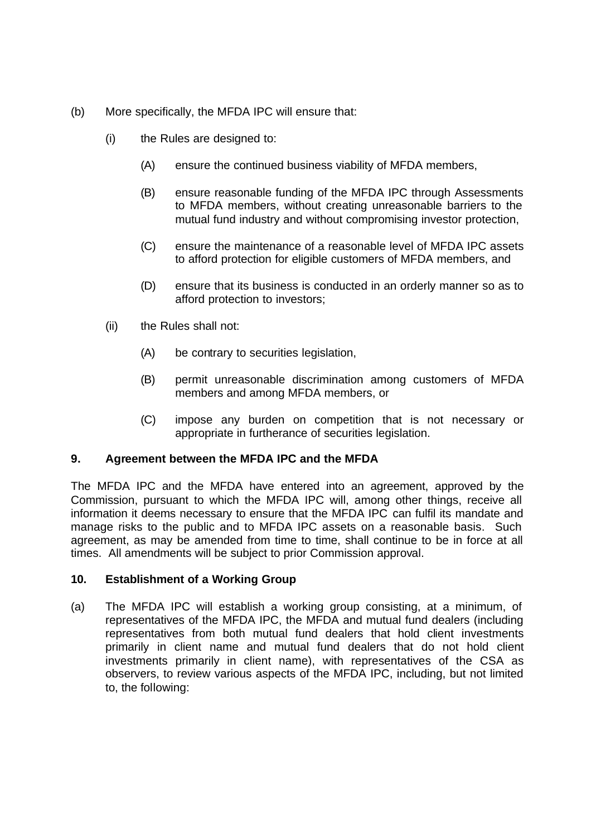- (b) More specifically, the MFDA IPC will ensure that:
	- (i) the Rules are designed to:
		- (A) ensure the continued business viability of MFDA members,
		- (B) ensure reasonable funding of the MFDA IPC through Assessments to MFDA members, without creating unreasonable barriers to the mutual fund industry and without compromising investor protection,
		- (C) ensure the maintenance of a reasonable level of MFDA IPC assets to afford protection for eligible customers of MFDA members, and
		- (D) ensure that its business is conducted in an orderly manner so as to afford protection to investors;
	- (ii) the Rules shall not:
		- (A) be contrary to securities legislation,
		- (B) permit unreasonable discrimination among customers of MFDA members and among MFDA members, or
		- (C) impose any burden on competition that is not necessary or appropriate in furtherance of securities legislation.

# **9. Agreement between the MFDA IPC and the MFDA**

The MFDA IPC and the MFDA have entered into an agreement, approved by the Commission, pursuant to which the MFDA IPC will, among other things, receive all information it deems necessary to ensure that the MFDA IPC can fulfil its mandate and manage risks to the public and to MFDA IPC assets on a reasonable basis. Such agreement, as may be amended from time to time, shall continue to be in force at all times. All amendments will be subject to prior Commission approval.

# **10. Establishment of a Working Group**

(a) The MFDA IPC will establish a working group consisting, at a minimum, of representatives of the MFDA IPC, the MFDA and mutual fund dealers (including representatives from both mutual fund dealers that hold client investments primarily in client name and mutual fund dealers that do not hold client investments primarily in client name), with representatives of the CSA as observers, to review various aspects of the MFDA IPC, including, but not limited to, the following: